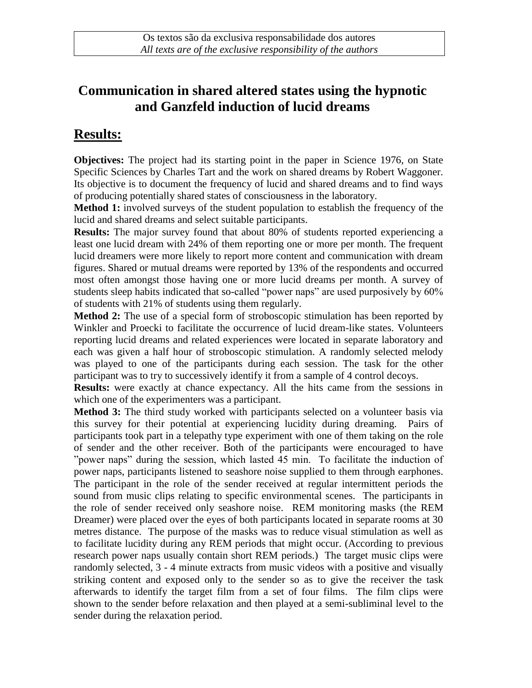## **Communication in shared altered states using the hypnotic and Ganzfeld induction of lucid dreams**

## **Results:**

**Objectives:** The project had its starting point in the paper in Science 1976, on State Specific Sciences by Charles Tart and the work on shared dreams by Robert Waggoner. Its objective is to document the frequency of lucid and shared dreams and to find ways of producing potentially shared states of consciousness in the laboratory.

**Method 1:** involved surveys of the student population to establish the frequency of the lucid and shared dreams and select suitable participants.

**Results:** The major survey found that about 80% of students reported experiencing a least one lucid dream with 24% of them reporting one or more per month. The frequent lucid dreamers were more likely to report more content and communication with dream figures. Shared or mutual dreams were reported by 13% of the respondents and occurred most often amongst those having one or more lucid dreams per month. A survey of students sleep habits indicated that so-called "power naps" are used purposively by 60% of students with 21% of students using them regularly.

**Method 2:** The use of a special form of stroboscopic stimulation has been reported by Winkler and Proecki to facilitate the occurrence of lucid dream-like states. Volunteers reporting lucid dreams and related experiences were located in separate laboratory and each was given a half hour of stroboscopic stimulation. A randomly selected melody was played to one of the participants during each session. The task for the other participant was to try to successively identify it from a sample of 4 control decoys.

**Results:** were exactly at chance expectancy. All the hits came from the sessions in which one of the experimenters was a participant.

**Method 3:** The third study worked with participants selected on a volunteer basis via this survey for their potential at experiencing lucidity during dreaming. Pairs of participants took part in a telepathy type experiment with one of them taking on the role of sender and the other receiver. Both of the participants were encouraged to have "power naps" during the session, which lasted 45 min. To facilitate the induction of power naps, participants listened to seashore noise supplied to them through earphones. The participant in the role of the sender received at regular intermittent periods the sound from music clips relating to specific environmental scenes. The participants in the role of sender received only seashore noise. REM monitoring masks (the REM Dreamer) were placed over the eyes of both participants located in separate rooms at 30 metres distance. The purpose of the masks was to reduce visual stimulation as well as to facilitate lucidity during any REM periods that might occur. (According to previous research power naps usually contain short REM periods.) The target music clips were randomly selected, 3 - 4 minute extracts from music videos with a positive and visually striking content and exposed only to the sender so as to give the receiver the task afterwards to identify the target film from a set of four films. The film clips were shown to the sender before relaxation and then played at a semi-subliminal level to the sender during the relaxation period.